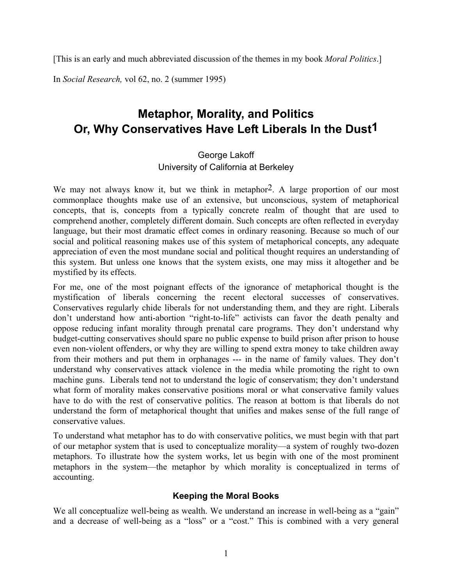[This is an early and much abbreviated discussion of the themes in my book *Moral Politics*.]

In *Social Research,* vol 62, no. 2 (summer 1995)

## **Metaphor, Morality, and Politics Or, Why Conservatives Have Left Liberals In the Dust1**

# George Lakoff

University of California at Berkeley

We may not always know it, but we think in metaphor<sup>2</sup>. A large proportion of our most commonplace thoughts make use of an extensive, but unconscious, system of metaphorical concepts, that is, concepts from a typically concrete realm of thought that are used to comprehend another, completely different domain. Such concepts are often reflected in everyday language, but their most dramatic effect comes in ordinary reasoning. Because so much of our social and political reasoning makes use of this system of metaphorical concepts, any adequate appreciation of even the most mundane social and political thought requires an understanding of this system. But unless one knows that the system exists, one may miss it altogether and be mystified by its effects.

For me, one of the most poignant effects of the ignorance of metaphorical thought is the mystification of liberals concerning the recent electoral successes of conservatives. Conservatives regularly chide liberals for not understanding them, and they are right. Liberals don't understand how anti-abortion "right-to-life" activists can favor the death penalty and oppose reducing infant morality through prenatal care programs. They don't understand why budget-cutting conservatives should spare no public expense to build prison after prison to house even non-violent offenders, or why they are willing to spend extra money to take children away from their mothers and put them in orphanages --- in the name of family values. They don't understand why conservatives attack violence in the media while promoting the right to own machine guns. Liberals tend not to understand the logic of conservatism; they don't understand what form of morality makes conservative positions moral or what conservative family values have to do with the rest of conservative politics. The reason at bottom is that liberals do not understand the form of metaphorical thought that unifies and makes sense of the full range of conservative values.

To understand what metaphor has to do with conservative politics, we must begin with that part of our metaphor system that is used to conceptualize morality—a system of roughly two-dozen metaphors. To illustrate how the system works, let us begin with one of the most prominent metaphors in the system—the metaphor by which morality is conceptualized in terms of accounting.

### **Keeping the Moral Books**

We all conceptualize well-being as wealth. We understand an increase in well-being as a "gain" and a decrease of well-being as a "loss" or a "cost." This is combined with a very general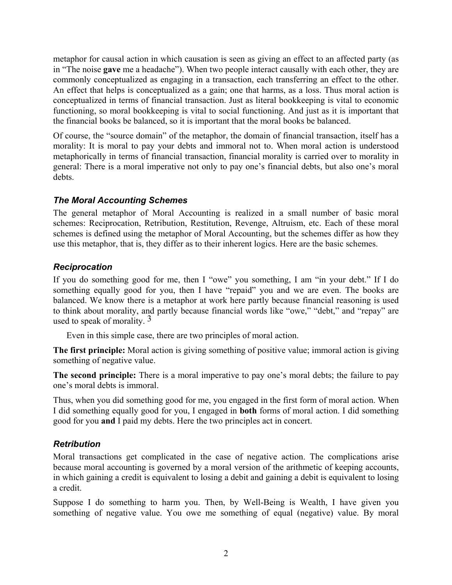metaphor for causal action in which causation is seen as giving an effect to an affected party (as in "The noise **gave** me a headache"). When two people interact causally with each other, they are commonly conceptualized as engaging in a transaction, each transferring an effect to the other. An effect that helps is conceptualized as a gain; one that harms, as a loss. Thus moral action is conceptualized in terms of financial transaction. Just as literal bookkeeping is vital to economic functioning, so moral bookkeeping is vital to social functioning. And just as it is important that the financial books be balanced, so it is important that the moral books be balanced.

Of course, the "source domain" of the metaphor, the domain of financial transaction, itself has a morality: It is moral to pay your debts and immoral not to. When moral action is understood metaphorically in terms of financial transaction, financial morality is carried over to morality in general: There is a moral imperative not only to pay one's financial debts, but also one's moral debts.

### *The Moral Accounting Schemes*

The general metaphor of Moral Accounting is realized in a small number of basic moral schemes: Reciprocation, Retribution, Restitution, Revenge, Altruism, etc. Each of these moral schemes is defined using the metaphor of Moral Accounting, but the schemes differ as how they use this metaphor, that is, they differ as to their inherent logics. Here are the basic schemes.

#### *Reciprocation*

If you do something good for me, then I "owe" you something, I am "in your debt." If I do something equally good for you, then I have "repaid" you and we are even. The books are balanced. We know there is a metaphor at work here partly because financial reasoning is used to think about morality, and partly because financial words like "owe," "debt," and "repay" are used to speak of morality.  $3$ 

Even in this simple case, there are two principles of moral action.

**The first principle:** Moral action is giving something of positive value; immoral action is giving something of negative value.

**The second principle:** There is a moral imperative to pay one's moral debts; the failure to pay one's moral debts is immoral.

Thus, when you did something good for me, you engaged in the first form of moral action. When I did something equally good for you, I engaged in **both** forms of moral action. I did something good for you **and** I paid my debts. Here the two principles act in concert.

### *Retribution*

Moral transactions get complicated in the case of negative action. The complications arise because moral accounting is governed by a moral version of the arithmetic of keeping accounts, in which gaining a credit is equivalent to losing a debit and gaining a debit is equivalent to losing a credit.

Suppose I do something to harm you. Then, by Well-Being is Wealth, I have given you something of negative value. You owe me something of equal (negative) value. By moral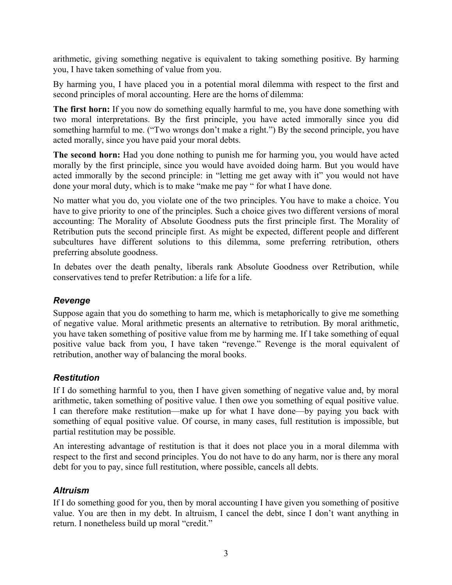arithmetic, giving something negative is equivalent to taking something positive. By harming you, I have taken something of value from you.

By harming you, I have placed you in a potential moral dilemma with respect to the first and second principles of moral accounting. Here are the horns of dilemma:

**The first horn:** If you now do something equally harmful to me, you have done something with two moral interpretations. By the first principle, you have acted immorally since you did something harmful to me. ("Two wrongs don't make a right.") By the second principle, you have acted morally, since you have paid your moral debts.

**The second horn:** Had you done nothing to punish me for harming you, you would have acted morally by the first principle, since you would have avoided doing harm. But you would have acted immorally by the second principle: in "letting me get away with it" you would not have done your moral duty, which is to make "make me pay " for what I have done.

No matter what you do, you violate one of the two principles. You have to make a choice. You have to give priority to one of the principles. Such a choice gives two different versions of moral accounting: The Morality of Absolute Goodness puts the first principle first. The Morality of Retribution puts the second principle first. As might be expected, different people and different subcultures have different solutions to this dilemma, some preferring retribution, others preferring absolute goodness.

In debates over the death penalty, liberals rank Absolute Goodness over Retribution, while conservatives tend to prefer Retribution: a life for a life.

### *Revenge*

Suppose again that you do something to harm me, which is metaphorically to give me something of negative value. Moral arithmetic presents an alternative to retribution. By moral arithmetic, you have taken something of positive value from me by harming me. If I take something of equal positive value back from you, I have taken "revenge." Revenge is the moral equivalent of retribution, another way of balancing the moral books.

### *Restitution*

If I do something harmful to you, then I have given something of negative value and, by moral arithmetic, taken something of positive value. I then owe you something of equal positive value. I can therefore make restitution—make up for what I have done—by paying you back with something of equal positive value. Of course, in many cases, full restitution is impossible, but partial restitution may be possible.

An interesting advantage of restitution is that it does not place you in a moral dilemma with respect to the first and second principles. You do not have to do any harm, nor is there any moral debt for you to pay, since full restitution, where possible, cancels all debts.

### *Altruism*

If I do something good for you, then by moral accounting I have given you something of positive value. You are then in my debt. In altruism, I cancel the debt, since I don't want anything in return. I nonetheless build up moral "credit."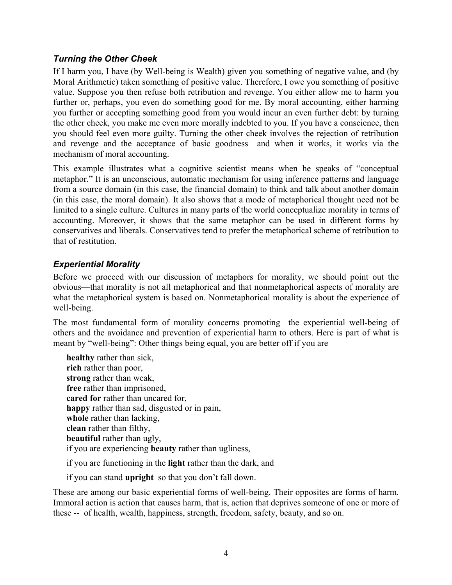#### *Turning the Other Cheek*

If I harm you, I have (by Well-being is Wealth) given you something of negative value, and (by Moral Arithmetic) taken something of positive value. Therefore, I owe you something of positive value. Suppose you then refuse both retribution and revenge. You either allow me to harm you further or, perhaps, you even do something good for me. By moral accounting, either harming you further or accepting something good from you would incur an even further debt: by turning the other cheek, you make me even more morally indebted to you. If you have a conscience, then you should feel even more guilty. Turning the other cheek involves the rejection of retribution and revenge and the acceptance of basic goodness—and when it works, it works via the mechanism of moral accounting.

This example illustrates what a cognitive scientist means when he speaks of "conceptual metaphor." It is an unconscious, automatic mechanism for using inference patterns and language from a source domain (in this case, the financial domain) to think and talk about another domain (in this case, the moral domain). It also shows that a mode of metaphorical thought need not be limited to a single culture. Cultures in many parts of the world conceptualize morality in terms of accounting. Moreover, it shows that the same metaphor can be used in different forms by conservatives and liberals. Conservatives tend to prefer the metaphorical scheme of retribution to that of restitution.

### *Experiential Morality*

Before we proceed with our discussion of metaphors for morality, we should point out the obvious—that morality is not all metaphorical and that nonmetaphorical aspects of morality are what the metaphorical system is based on. Nonmetaphorical morality is about the experience of well-being.

The most fundamental form of morality concerns promoting the experiential well-being of others and the avoidance and prevention of experiential harm to others. Here is part of what is meant by "well-being": Other things being equal, you are better off if you are

**healthy** rather than sick, **rich** rather than poor, **strong** rather than weak, **free** rather than imprisoned, **cared for** rather than uncared for, **happy** rather than sad, disgusted or in pain, **whole** rather than lacking, **clean** rather than filthy, **beautiful** rather than ugly, if you are experiencing **beauty** rather than ugliness,

if you are functioning in the **light** rather than the dark, and

if you can stand **upright** so that you don't fall down.

These are among our basic experiential forms of well-being. Their opposites are forms of harm. Immoral action is action that causes harm, that is, action that deprives someone of one or more of these -- of health, wealth, happiness, strength, freedom, safety, beauty, and so on.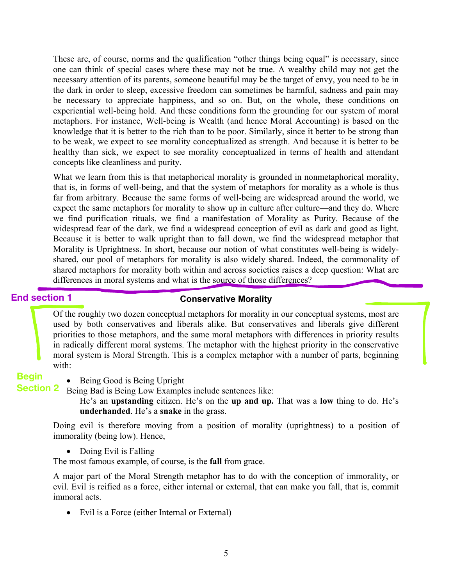These are, of course, norms and the qualification "other things being equal" is necessary, since one can think of special cases where these may not be true. A wealthy child may not get the necessary attention of its parents, someone beautiful may be the target of envy, you need to be in the dark in order to sleep, excessive freedom can sometimes be harmful, sadness and pain may be necessary to appreciate happiness, and so on. But, on the whole, these conditions on experiential well-being hold. And these conditions form the grounding for our system of moral metaphors. For instance, Well-being is Wealth (and hence Moral Accounting) is based on the knowledge that it is better to the rich than to be poor. Similarly, since it better to be strong than to be weak, we expect to see morality conceptualized as strength. And because it is better to be healthy than sick, we expect to see morality conceptualized in terms of health and attendant concepts like cleanliness and purity.

What we learn from this is that metaphorical morality is grounded in nonmetaphorical morality, that is, in forms of well-being, and that the system of metaphors for morality as a whole is thus far from arbitrary. Because the same forms of well-being are widespread around the world, we expect the same metaphors for morality to show up in culture after culture—and they do. Where we find purification rituals, we find a manifestation of Morality as Purity. Because of the widespread fear of the dark, we find a widespread conception of evil as dark and good as light. Because it is better to walk upright than to fall down, we find the widespread metaphor that Morality is Uprightness. In short, because our notion of what constitutes well-being is widelyshared, our pool of metaphors for morality is also widely shared. Indeed, the commonality of shared metaphors for morality both within and across societies raises a deep question: What are differences in moral systems and what is the source of those differences?

## **End section 1**

#### **Conservative Morality**

Of the roughly two dozen conceptual metaphors for morality in our conceptual systems, most are used by both conservatives and liberals alike. But conservatives and liberals give different priorities to those metaphors, and the same moral metaphors with differences in priority results in radically different moral systems. The metaphor with the highest priority in the conservative moral system is Moral Strength. This is a complex metaphor with a number of parts, beginning with:

## **Begin**

**Section 2**

• Being Good is Being Upright

Being Bad is Being Low Examples include sentences like:

He's an **upstanding** citizen. He's on the **up and up.** That was a **low** thing to do. He's **underhanded**. He's a **snake** in the grass.

Doing evil is therefore moving from a position of morality (uprightness) to a position of immorality (being low). Hence,

• Doing Evil is Falling

The most famous example, of course, is the **fall** from grace.

A major part of the Moral Strength metaphor has to do with the conception of immorality, or evil. Evil is reified as a force, either internal or external, that can make you fall, that is, commit immoral acts.

• Evil is a Force (either Internal or External)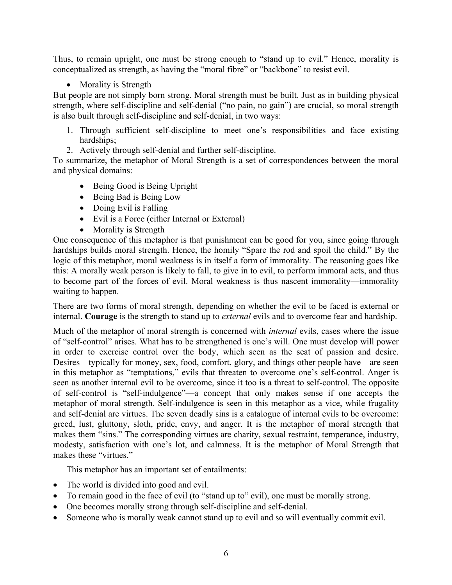Thus, to remain upright, one must be strong enough to "stand up to evil." Hence, morality is conceptualized as strength, as having the "moral fibre" or "backbone" to resist evil.

• Morality is Strength

But people are not simply born strong. Moral strength must be built. Just as in building physical strength, where self-discipline and self-denial ("no pain, no gain") are crucial, so moral strength is also built through self-discipline and self-denial, in two ways:

- 1. Through sufficient self-discipline to meet one's responsibilities and face existing hardships;
- 2. Actively through self-denial and further self-discipline.

To summarize, the metaphor of Moral Strength is a set of correspondences between the moral and physical domains:

- Being Good is Being Upright
- Being Bad is Being Low
- Doing Evil is Falling
- Evil is a Force (either Internal or External)
- Morality is Strength

One consequence of this metaphor is that punishment can be good for you, since going through hardships builds moral strength. Hence, the homily "Spare the rod and spoil the child." By the logic of this metaphor, moral weakness is in itself a form of immorality. The reasoning goes like this: A morally weak person is likely to fall, to give in to evil, to perform immoral acts, and thus to become part of the forces of evil. Moral weakness is thus nascent immorality—immorality waiting to happen.

There are two forms of moral strength, depending on whether the evil to be faced is external or internal. **Courage** is the strength to stand up to *external* evils and to overcome fear and hardship.

Much of the metaphor of moral strength is concerned with *internal* evils, cases where the issue of "self-control" arises. What has to be strengthened is one's will. One must develop will power in order to exercise control over the body, which seen as the seat of passion and desire. Desires—typically for money, sex, food, comfort, glory, and things other people have—are seen in this metaphor as "temptations," evils that threaten to overcome one's self-control. Anger is seen as another internal evil to be overcome, since it too is a threat to self-control. The opposite of self-control is "self-indulgence"—a concept that only makes sense if one accepts the metaphor of moral strength. Self-indulgence is seen in this metaphor as a vice, while frugality and self-denial are virtues. The seven deadly sins is a catalogue of internal evils to be overcome: greed, lust, gluttony, sloth, pride, envy, and anger. It is the metaphor of moral strength that makes them "sins." The corresponding virtues are charity, sexual restraint, temperance, industry, modesty, satisfaction with one's lot, and calmness. It is the metaphor of Moral Strength that makes these "virtues."

This metaphor has an important set of entailments:

- The world is divided into good and evil.
- To remain good in the face of evil (to "stand up to" evil), one must be morally strong.
- One becomes morally strong through self-discipline and self-denial.
- Someone who is morally weak cannot stand up to evil and so will eventually commit evil.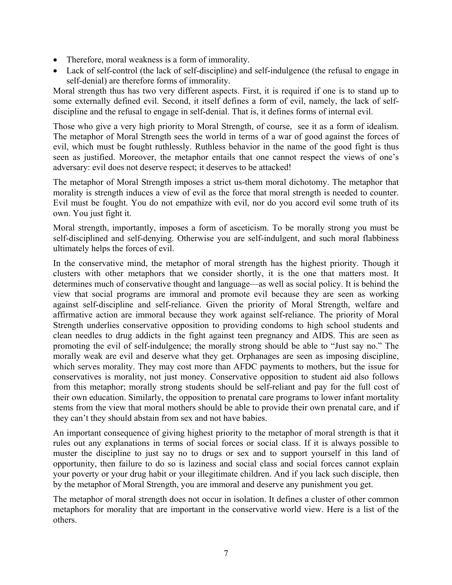- Therefore, moral weakness is a form of immorality.
- Lack of self-control (the lack of self-discipline) and self-indulgence (the refusal to engage in self-denial) are therefore forms of immorality.

Moral strength thus has two very different aspects. First, it is required if one is to stand up to some externally defined evil. Second, it itself defines a form of evil, namely, the lack of selfdiscipline and the refusal to engage in self-denial. That is, it defines forms of internal evil.

Those who give a very high priority to Moral Strength, of course, see it as a form of idealism. The metaphor of Moral Strength sees the world in terms of a war of good against the forces of evil, which must be fought ruthlessly. Ruthless behavior in the name of the good fight is thus seen as justified. Moreover, the metaphor entails that one cannot respect the views of one's adversary: evil does not deserve respect; it deserves to be attacked!

The metaphor of Moral Strength imposes a strict us-them moral dichotomy. The metaphor that morality is strength induces a view of evil as the force that moral strength is needed to counter. Evil must be fought. You do not empathize with evil, nor do you accord evil some truth of its own. You just fight it.

Moral strength, importantly, imposes a form of asceticism. To be morally strong you must be self-disciplined and self-denying. Otherwise you are self-indulgent, and such moral flabbiness ultimately helps the forces of evil.

In the conservative mind, the metaphor of moral strength has the highest priority. Though it clusters with other metaphors that we consider shortly, it is the one that matters most. It determines much of conservative thought and language—as well as social policy. It is behind the view that social programs are immoral and promote evil because they are seen as working against self-discipline and self-reliance. Given the priority of Moral Strength, welfare and affirmative action are immoral because they work against self-reliance. The priority of Moral Strength underlies conservative opposition to providing condoms to high school students and clean needles to drug addicts in the fight against teen pregnancy and AIDS. This are seen as promoting the evil of self-indulgence; the morally strong should be able to "Just say no." The morally weak are evil and deserve what they get. Orphanages are seen as imposing discipline, which serves morality. They may cost more than AFDC payments to mothers, but the issue for conservatives is morality, not just money. Conservative opposition to student aid also follows from this metaphor; morally strong students should be self-reliant and pay for the full cost of their own education. Similarly, the opposition to prenatal care programs to lower infant mortality stems from the view that moral mothers should be able to provide their own prenatal care, and if they can't they should abstain from sex and not have babies.

An important consequence of giving highest priority to the metaphor of moral strength is that it rules out any explanations in terms of social forces or social class. If it is always possible to muster the discipline to just say no to drugs or sex and to support yourself in this land of opportunity, then failure to do so is laziness and social class and social forces cannot explain your poverty or your drug habit or your illegitimate children. And if you lack such disciple, then by the metaphor of Moral Strength, you are immoral and deserve any punishment you get.

The metaphor of moral strength does not occur in isolation. It defines a cluster of other common metaphors for morality that are important in the conservative world view. Here is a list of the others.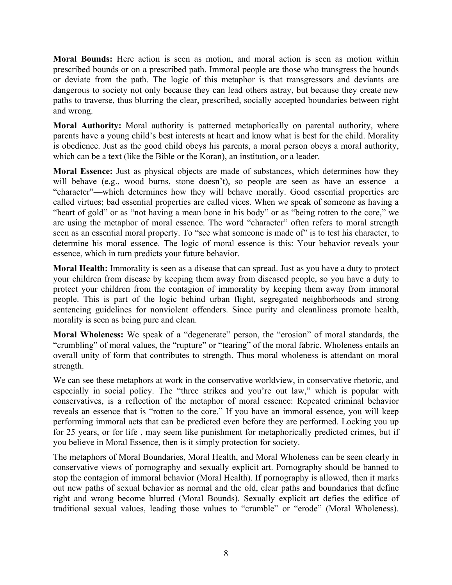**Moral Bounds:** Here action is seen as motion, and moral action is seen as motion within prescribed bounds or on a prescribed path. Immoral people are those who transgress the bounds or deviate from the path. The logic of this metaphor is that transgressors and deviants are dangerous to society not only because they can lead others astray, but because they create new paths to traverse, thus blurring the clear, prescribed, socially accepted boundaries between right and wrong.

**Moral Authority:** Moral authority is patterned metaphorically on parental authority, where parents have a young child's best interests at heart and know what is best for the child. Morality is obedience. Just as the good child obeys his parents, a moral person obeys a moral authority, which can be a text (like the Bible or the Koran), an institution, or a leader.

**Moral Essence:** Just as physical objects are made of substances, which determines how they will behave (e.g., wood burns, stone doesn't), so people are seen as have an essence—a "character"—which determines how they will behave morally. Good essential properties are called virtues; bad essential properties are called vices. When we speak of someone as having a "heart of gold" or as "not having a mean bone in his body" or as "being rotten to the core," we are using the metaphor of moral essence. The word "character" often refers to moral strength seen as an essential moral property. To "see what someone is made of" is to test his character, to determine his moral essence. The logic of moral essence is this: Your behavior reveals your essence, which in turn predicts your future behavior.

**Moral Health:** Immorality is seen as a disease that can spread. Just as you have a duty to protect your children from disease by keeping them away from diseased people, so you have a duty to protect your children from the contagion of immorality by keeping them away from immoral people. This is part of the logic behind urban flight, segregated neighborhoods and strong sentencing guidelines for nonviolent offenders. Since purity and cleanliness promote health, morality is seen as being pure and clean.

**Moral Wholeness:** We speak of a "degenerate" person, the "erosion" of moral standards, the "crumbling" of moral values, the "rupture" or "tearing" of the moral fabric. Wholeness entails an overall unity of form that contributes to strength. Thus moral wholeness is attendant on moral strength.

We can see these metaphors at work in the conservative worldview, in conservative rhetoric, and especially in social policy. The "three strikes and you're out law," which is popular with conservatives, is a reflection of the metaphor of moral essence: Repeated criminal behavior reveals an essence that is "rotten to the core." If you have an immoral essence, you will keep performing immoral acts that can be predicted even before they are performed. Locking you up for 25 years, or for life , may seem like punishment for metaphorically predicted crimes, but if you believe in Moral Essence, then is it simply protection for society.

The metaphors of Moral Boundaries, Moral Health, and Moral Wholeness can be seen clearly in conservative views of pornography and sexually explicit art. Pornography should be banned to stop the contagion of immoral behavior (Moral Health). If pornography is allowed, then it marks out new paths of sexual behavior as normal and the old, clear paths and boundaries that define right and wrong become blurred (Moral Bounds). Sexually explicit art defies the edifice of traditional sexual values, leading those values to "crumble" or "erode" (Moral Wholeness).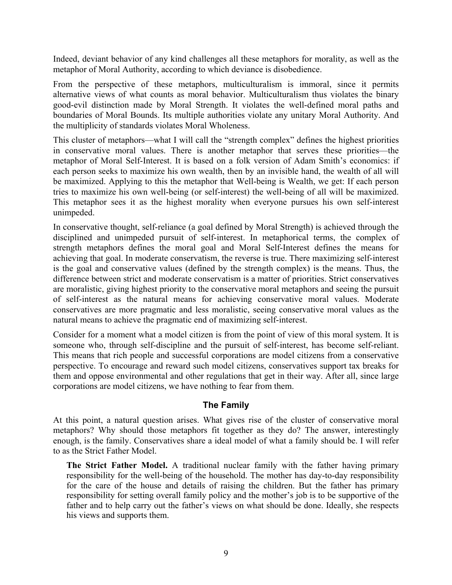Indeed, deviant behavior of any kind challenges all these metaphors for morality, as well as the metaphor of Moral Authority, according to which deviance is disobedience.

From the perspective of these metaphors, multiculturalism is immoral, since it permits alternative views of what counts as moral behavior. Multiculturalism thus violates the binary good-evil distinction made by Moral Strength. It violates the well-defined moral paths and boundaries of Moral Bounds. Its multiple authorities violate any unitary Moral Authority. And the multiplicity of standards violates Moral Wholeness.

This cluster of metaphors—what I will call the "strength complex" defines the highest priorities in conservative moral values. There is another metaphor that serves these priorities—the metaphor of Moral Self-Interest. It is based on a folk version of Adam Smith's economics: if each person seeks to maximize his own wealth, then by an invisible hand, the wealth of all will be maximized. Applying to this the metaphor that Well-being is Wealth, we get: If each person tries to maximize his own well-being (or self-interest) the well-being of all will be maximized. This metaphor sees it as the highest morality when everyone pursues his own self-interest unimpeded.

In conservative thought, self-reliance (a goal defined by Moral Strength) is achieved through the disciplined and unimpeded pursuit of self-interest. In metaphorical terms, the complex of strength metaphors defines the moral goal and Moral Self-Interest defines the means for achieving that goal. In moderate conservatism, the reverse is true. There maximizing self-interest is the goal and conservative values (defined by the strength complex) is the means. Thus, the difference between strict and moderate conservatism is a matter of priorities. Strict conservatives are moralistic, giving highest priority to the conservative moral metaphors and seeing the pursuit of self-interest as the natural means for achieving conservative moral values. Moderate conservatives are more pragmatic and less moralistic, seeing conservative moral values as the natural means to achieve the pragmatic end of maximizing self-interest.

Consider for a moment what a model citizen is from the point of view of this moral system. It is someone who, through self-discipline and the pursuit of self-interest, has become self-reliant. This means that rich people and successful corporations are model citizens from a conservative perspective. To encourage and reward such model citizens, conservatives support tax breaks for them and oppose environmental and other regulations that get in their way. After all, since large corporations are model citizens, we have nothing to fear from them.

### **The Family**

At this point, a natural question arises. What gives rise of the cluster of conservative moral metaphors? Why should those metaphors fit together as they do? The answer, interestingly enough, is the family. Conservatives share a ideal model of what a family should be. I will refer to as the Strict Father Model.

**The Strict Father Model.** A traditional nuclear family with the father having primary responsibility for the well-being of the household. The mother has day-to-day responsibility for the care of the house and details of raising the children. But the father has primary responsibility for setting overall family policy and the mother's job is to be supportive of the father and to help carry out the father's views on what should be done. Ideally, she respects his views and supports them.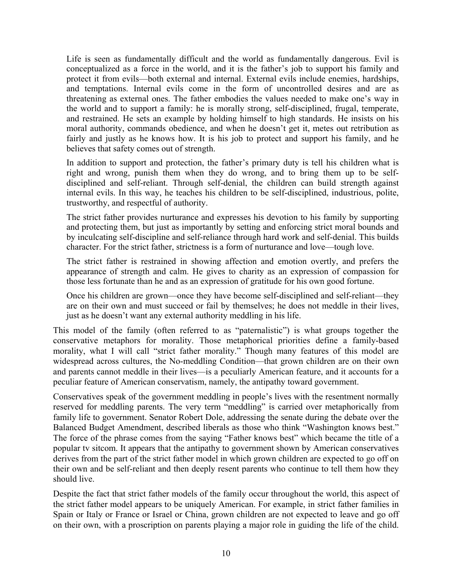Life is seen as fundamentally difficult and the world as fundamentally dangerous. Evil is conceptualized as a force in the world, and it is the father's job to support his family and protect it from evils—both external and internal. External evils include enemies, hardships, and temptations. Internal evils come in the form of uncontrolled desires and are as threatening as external ones. The father embodies the values needed to make one's way in the world and to support a family: he is morally strong, self-disciplined, frugal, temperate, and restrained. He sets an example by holding himself to high standards. He insists on his moral authority, commands obedience, and when he doesn't get it, metes out retribution as fairly and justly as he knows how. It is his job to protect and support his family, and he believes that safety comes out of strength.

In addition to support and protection, the father's primary duty is tell his children what is right and wrong, punish them when they do wrong, and to bring them up to be selfdisciplined and self-reliant. Through self-denial, the children can build strength against internal evils. In this way, he teaches his children to be self-disciplined, industrious, polite, trustworthy, and respectful of authority.

The strict father provides nurturance and expresses his devotion to his family by supporting and protecting them, but just as importantly by setting and enforcing strict moral bounds and by inculcating self-discipline and self-reliance through hard work and self-denial. This builds character. For the strict father, strictness is a form of nurturance and love—tough love.

The strict father is restrained in showing affection and emotion overtly, and prefers the appearance of strength and calm. He gives to charity as an expression of compassion for those less fortunate than he and as an expression of gratitude for his own good fortune.

Once his children are grown—once they have become self-disciplined and self-reliant—they are on their own and must succeed or fail by themselves; he does not meddle in their lives, just as he doesn't want any external authority meddling in his life.

This model of the family (often referred to as "paternalistic") is what groups together the conservative metaphors for morality. Those metaphorical priorities define a family-based morality, what I will call "strict father morality." Though many features of this model are widespread across cultures, the No-meddling Condition—that grown children are on their own and parents cannot meddle in their lives—is a peculiarly American feature, and it accounts for a peculiar feature of American conservatism, namely, the antipathy toward government.

Conservatives speak of the government meddling in people's lives with the resentment normally reserved for meddling parents. The very term "meddling" is carried over metaphorically from family life to government. Senator Robert Dole, addressing the senate during the debate over the Balanced Budget Amendment, described liberals as those who think "Washington knows best." The force of the phrase comes from the saying "Father knows best" which became the title of a popular tv sitcom. It appears that the antipathy to government shown by American conservatives derives from the part of the strict father model in which grown children are expected to go off on their own and be self-reliant and then deeply resent parents who continue to tell them how they should live.

Despite the fact that strict father models of the family occur throughout the world, this aspect of the strict father model appears to be uniquely American. For example, in strict father families in Spain or Italy or France or Israel or China, grown children are not expected to leave and go off on their own, with a proscription on parents playing a major role in guiding the life of the child.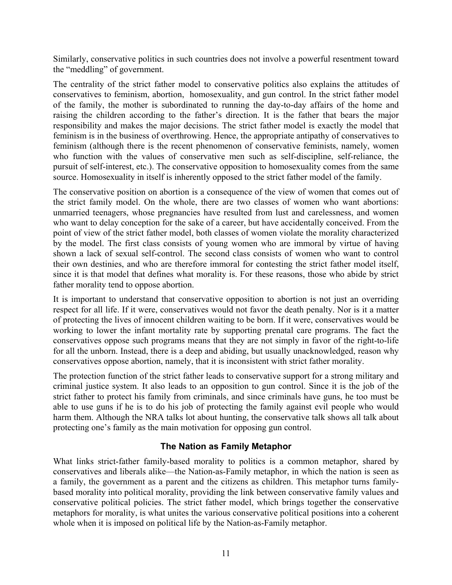Similarly, conservative politics in such countries does not involve a powerful resentment toward the "meddling" of government.

The centrality of the strict father model to conservative politics also explains the attitudes of conservatives to feminism, abortion, homosexuality, and gun control. In the strict father model of the family, the mother is subordinated to running the day-to-day affairs of the home and raising the children according to the father's direction. It is the father that bears the major responsibility and makes the major decisions. The strict father model is exactly the model that feminism is in the business of overthrowing. Hence, the appropriate antipathy of conservatives to feminism (although there is the recent phenomenon of conservative feminists, namely, women who function with the values of conservative men such as self-discipline, self-reliance, the pursuit of self-interest, etc.). The conservative opposition to homosexuality comes from the same source. Homosexuality in itself is inherently opposed to the strict father model of the family.

The conservative position on abortion is a consequence of the view of women that comes out of the strict family model. On the whole, there are two classes of women who want abortions: unmarried teenagers, whose pregnancies have resulted from lust and carelessness, and women who want to delay conception for the sake of a career, but have accidentally conceived. From the point of view of the strict father model, both classes of women violate the morality characterized by the model. The first class consists of young women who are immoral by virtue of having shown a lack of sexual self-control. The second class consists of women who want to control their own destinies, and who are therefore immoral for contesting the strict father model itself, since it is that model that defines what morality is. For these reasons, those who abide by strict father morality tend to oppose abortion.

It is important to understand that conservative opposition to abortion is not just an overriding respect for all life. If it were, conservatives would not favor the death penalty. Nor is it a matter of protecting the lives of innocent children waiting to be born. If it were, conservatives would be working to lower the infant mortality rate by supporting prenatal care programs. The fact the conservatives oppose such programs means that they are not simply in favor of the right-to-life for all the unborn. Instead, there is a deep and abiding, but usually unacknowledged, reason why conservatives oppose abortion, namely, that it is inconsistent with strict father morality.

The protection function of the strict father leads to conservative support for a strong military and criminal justice system. It also leads to an opposition to gun control. Since it is the job of the strict father to protect his family from criminals, and since criminals have guns, he too must be able to use guns if he is to do his job of protecting the family against evil people who would harm them. Although the NRA talks lot about hunting, the conservative talk shows all talk about protecting one's family as the main motivation for opposing gun control.

### **The Nation as Family Metaphor**

What links strict-father family-based morality to politics is a common metaphor, shared by conservatives and liberals alike—the Nation-as-Family metaphor, in which the nation is seen as a family, the government as a parent and the citizens as children. This metaphor turns familybased morality into political morality, providing the link between conservative family values and conservative political policies. The strict father model, which brings together the conservative metaphors for morality, is what unites the various conservative political positions into a coherent whole when it is imposed on political life by the Nation-as-Family metaphor.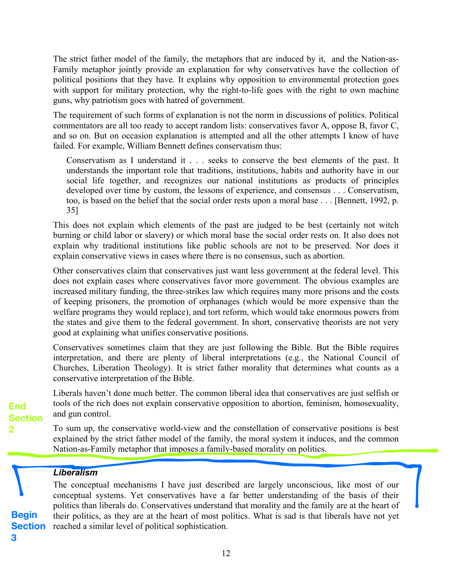The strict father model of the family, the metaphors that are induced by it, and the Nation-as-Family metaphor jointly provide an explanation for why conservatives have the collection of political positions that they have. It explains why opposition to environmental protection goes with support for military protection, why the right-to-life goes with the right to own machine guns, why patriotism goes with hatred of government.

The requirement of such forms of explanation is not the norm in discussions of politics. Political commentators are all too ready to accept random lists: conservatives favor A, oppose B, favor C, and so on. But on occasion explanation is attempted and all the other attempts I know of have failed. For example, William Bennett defines conservatism thus:

Conservatism as I understand it . . . seeks to conserve the best elements of the past. It understands the important role that traditions, institutions, habits and authority have in our social life together, and recognizes our national institutions as products of principles developed over time by custom, the lessons of experience, and consensus . . . Conservatism, too, is based on the belief that the social order rests upon a moral base . . . [Bennett, 1992, p. 35]

This does not explain which elements of the past are judged to be best (certainly not witch burning or child labor or slavery) or which moral base the social order rests on. It also does not explain why traditional institutions like public schools are not to be preserved. Nor does it explain conservative views in cases where there is no consensus, such as abortion.

Other conservatives claim that conservatives just want less government at the federal level. This does not explain cases where conservatives favor more government. The obvious examples are increased military funding, the three-strikes law which requires many more prisons and the costs of keeping prisoners, the promotion of orphanages (which would be more expensive than the welfare programs they would replace), and tort reform, which would take enormous powers from the states and give them to the federal government. In short, conservative theorists are not very good at explaining what unifies conservative positions.

Conservatives sometimes claim that they are just following the Bible. But the Bible requires interpretation, and there are plenty of liberal interpretations (e.g., the National Council of Churches, Liberation Theology). It is strict father morality that determines what counts as a conservative interpretation of the Bible.

Liberals haven't done much better. The common liberal idea that conservatives are just selfish or tools of the rich does not explain conservative opposition to abortion, feminism, homosexuality, and gun control.

To sum up, the conservative world-view and the constellation of conservative positions is best explained by the strict father model of the family, the moral system it induces, and the common Nation-as-Family metaphor that imposes a family-based morality on politics.

#### *Liberalism*

The conceptual mechanisms I have just described are largely unconscious, like most of our conceptual systems. Yet conservatives have a far better understanding of the basis of their politics than liberals do. Conservatives understand that morality and the family are at the heart of their politics, as they are at the heart of most politics. What is sad is that liberals have not yet reached a similar level of political sophistication.

**End Section** 

**2**

**Begin**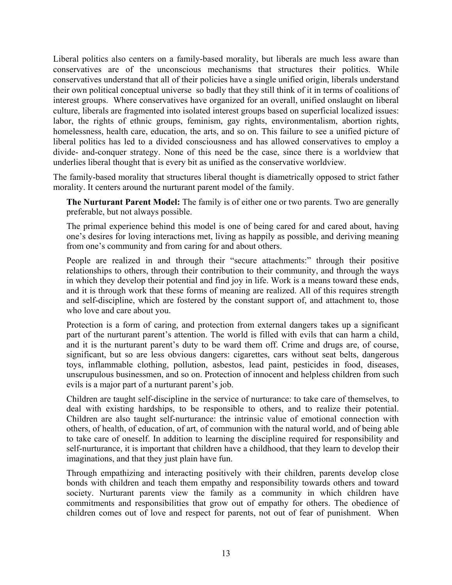Liberal politics also centers on a family-based morality, but liberals are much less aware than conservatives are of the unconscious mechanisms that structures their politics. While conservatives understand that all of their policies have a single unified origin, liberals understand their own political conceptual universe so badly that they still think of it in terms of coalitions of interest groups. Where conservatives have organized for an overall, unified onslaught on liberal culture, liberals are fragmented into isolated interest groups based on superficial localized issues: labor, the rights of ethnic groups, feminism, gay rights, environmentalism, abortion rights, homelessness, health care, education, the arts, and so on. This failure to see a unified picture of liberal politics has led to a divided consciousness and has allowed conservatives to employ a divide- and-conquer strategy. None of this need be the case, since there is a worldview that underlies liberal thought that is every bit as unified as the conservative worldview.

The family-based morality that structures liberal thought is diametrically opposed to strict father morality. It centers around the nurturant parent model of the family.

**The Nurturant Parent Model:** The family is of either one or two parents. Two are generally preferable, but not always possible.

The primal experience behind this model is one of being cared for and cared about, having one's desires for loving interactions met, living as happily as possible, and deriving meaning from one's community and from caring for and about others.

People are realized in and through their "secure attachments:" through their positive relationships to others, through their contribution to their community, and through the ways in which they develop their potential and find joy in life. Work is a means toward these ends, and it is through work that these forms of meaning are realized. All of this requires strength and self-discipline, which are fostered by the constant support of, and attachment to, those who love and care about you.

Protection is a form of caring, and protection from external dangers takes up a significant part of the nurturant parent's attention. The world is filled with evils that can harm a child, and it is the nurturant parent's duty to be ward them off. Crime and drugs are, of course, significant, but so are less obvious dangers: cigarettes, cars without seat belts, dangerous toys, inflammable clothing, pollution, asbestos, lead paint, pesticides in food, diseases, unscrupulous businessmen, and so on. Protection of innocent and helpless children from such evils is a major part of a nurturant parent's job.

Children are taught self-discipline in the service of nurturance: to take care of themselves, to deal with existing hardships, to be responsible to others, and to realize their potential. Children are also taught self-nurturance: the intrinsic value of emotional connection with others, of health, of education, of art, of communion with the natural world, and of being able to take care of oneself. In addition to learning the discipline required for responsibility and self-nurturance, it is important that children have a childhood, that they learn to develop their imaginations, and that they just plain have fun.

Through empathizing and interacting positively with their children, parents develop close bonds with children and teach them empathy and responsibility towards others and toward society. Nurturant parents view the family as a community in which children have commitments and responsibilities that grow out of empathy for others. The obedience of children comes out of love and respect for parents, not out of fear of punishment. When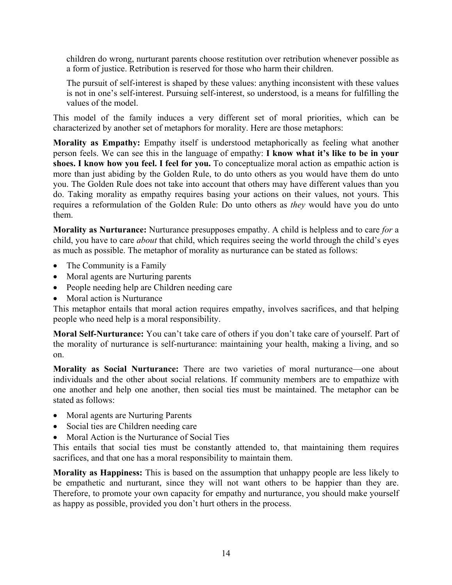children do wrong, nurturant parents choose restitution over retribution whenever possible as a form of justice. Retribution is reserved for those who harm their children.

The pursuit of self-interest is shaped by these values: anything inconsistent with these values is not in one's self-interest. Pursuing self-interest, so understood, is a means for fulfilling the values of the model.

This model of the family induces a very different set of moral priorities, which can be characterized by another set of metaphors for morality. Here are those metaphors:

**Morality as Empathy:** Empathy itself is understood metaphorically as feeling what another person feels. We can see this in the language of empathy: **I know what it's like to be in your**  shoes. I know how you feel. I feel for you. To conceptualize moral action as empathic action is more than just abiding by the Golden Rule, to do unto others as you would have them do unto you. The Golden Rule does not take into account that others may have different values than you do. Taking morality as empathy requires basing your actions on their values, not yours. This requires a reformulation of the Golden Rule: Do unto others as *they* would have you do unto them.

**Morality as Nurturance:** Nurturance presupposes empathy. A child is helpless and to care *for* a child, you have to care *about* that child, which requires seeing the world through the child's eyes as much as possible. The metaphor of morality as nurturance can be stated as follows:

- The Community is a Family
- Moral agents are Nurturing parents
- People needing help are Children needing care
- Moral action is Nurturance

This metaphor entails that moral action requires empathy, involves sacrifices, and that helping people who need help is a moral responsibility.

**Moral Self-Nurturance:** You can't take care of others if you don't take care of yourself. Part of the morality of nurturance is self-nurturance: maintaining your health, making a living, and so on.

**Morality as Social Nurturance:** There are two varieties of moral nurturance—one about individuals and the other about social relations. If community members are to empathize with one another and help one another, then social ties must be maintained. The metaphor can be stated as follows:

- Moral agents are Nurturing Parents
- Social ties are Children needing care
- Moral Action is the Nurturance of Social Ties

This entails that social ties must be constantly attended to, that maintaining them requires sacrifices, and that one has a moral responsibility to maintain them.

**Morality as Happiness:** This is based on the assumption that unhappy people are less likely to be empathetic and nurturant, since they will not want others to be happier than they are. Therefore, to promote your own capacity for empathy and nurturance, you should make yourself as happy as possible, provided you don't hurt others in the process.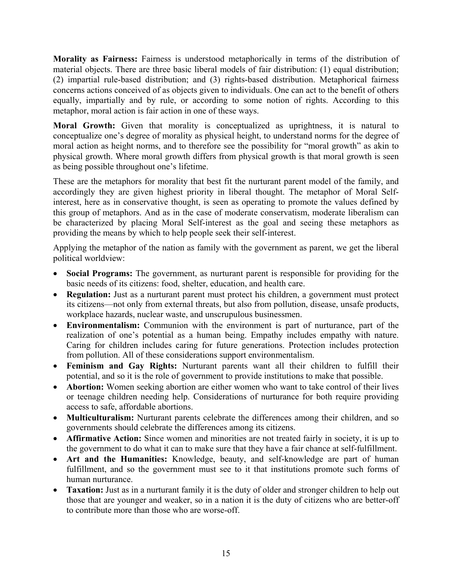**Morality as Fairness:** Fairness is understood metaphorically in terms of the distribution of material objects. There are three basic liberal models of fair distribution: (1) equal distribution; (2) impartial rule-based distribution; and (3) rights-based distribution. Metaphorical fairness concerns actions conceived of as objects given to individuals. One can act to the benefit of others equally, impartially and by rule, or according to some notion of rights. According to this metaphor, moral action is fair action in one of these ways.

**Moral Growth:** Given that morality is conceptualized as uprightness, it is natural to conceptualize one's degree of morality as physical height, to understand norms for the degree of moral action as height norms, and to therefore see the possibility for "moral growth" as akin to physical growth. Where moral growth differs from physical growth is that moral growth is seen as being possible throughout one's lifetime.

These are the metaphors for morality that best fit the nurturant parent model of the family, and accordingly they are given highest priority in liberal thought. The metaphor of Moral Selfinterest, here as in conservative thought, is seen as operating to promote the values defined by this group of metaphors. And as in the case of moderate conservatism, moderate liberalism can be characterized by placing Moral Self-interest as the goal and seeing these metaphors as providing the means by which to help people seek their self-interest.

Applying the metaphor of the nation as family with the government as parent, we get the liberal political worldview:

- **Social Programs:** The government, as nurturant parent is responsible for providing for the basic needs of its citizens: food, shelter, education, and health care.
- **Regulation:** Just as a nurturant parent must protect his children, a government must protect its citizens—not only from external threats, but also from pollution, disease, unsafe products, workplace hazards, nuclear waste, and unscrupulous businessmen.
- **Environmentalism:** Communion with the environment is part of nurturance, part of the realization of one's potential as a human being. Empathy includes empathy with nature. Caring for children includes caring for future generations. Protection includes protection from pollution. All of these considerations support environmentalism.
- **Feminism and Gay Rights:** Nurturant parents want all their children to fulfill their potential, and so it is the role of government to provide institutions to make that possible.
- **Abortion:** Women seeking abortion are either women who want to take control of their lives or teenage children needing help. Considerations of nurturance for both require providing access to safe, affordable abortions.
- **Multiculturalism:** Nurturant parents celebrate the differences among their children, and so governments should celebrate the differences among its citizens.
- **Affirmative Action:** Since women and minorities are not treated fairly in society, it is up to the government to do what it can to make sure that they have a fair chance at self-fulfillment.
- **Art and the Humanities:** Knowledge, beauty, and self-knowledge are part of human fulfillment, and so the government must see to it that institutions promote such forms of human nurturance.
- **Taxation:** Just as in a nurturant family it is the duty of older and stronger children to help out those that are younger and weaker, so in a nation it is the duty of citizens who are better-off to contribute more than those who are worse-off.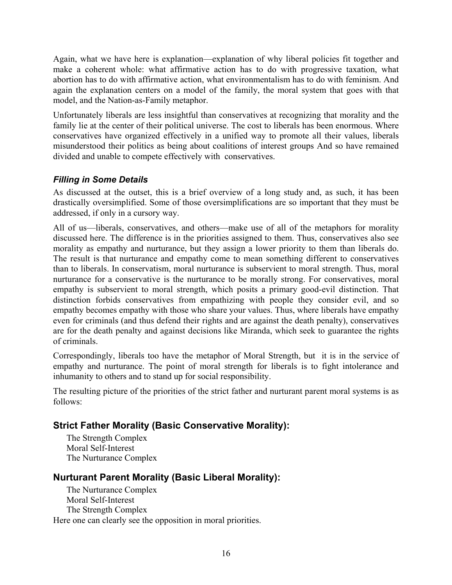Again, what we have here is explanation—explanation of why liberal policies fit together and make a coherent whole: what affirmative action has to do with progressive taxation, what abortion has to do with affirmative action, what environmentalism has to do with feminism. And again the explanation centers on a model of the family, the moral system that goes with that model, and the Nation-as-Family metaphor.

Unfortunately liberals are less insightful than conservatives at recognizing that morality and the family lie at the center of their political universe. The cost to liberals has been enormous. Where conservatives have organized effectively in a unified way to promote all their values, liberals misunderstood their politics as being about coalitions of interest groups And so have remained divided and unable to compete effectively with conservatives.

### *Filling in Some Details*

As discussed at the outset, this is a brief overview of a long study and, as such, it has been drastically oversimplified. Some of those oversimplifications are so important that they must be addressed, if only in a cursory way.

All of us—liberals, conservatives, and others—make use of all of the metaphors for morality discussed here. The difference is in the priorities assigned to them. Thus, conservatives also see morality as empathy and nurturance, but they assign a lower priority to them than liberals do. The result is that nurturance and empathy come to mean something different to conservatives than to liberals. In conservatism, moral nurturance is subservient to moral strength. Thus, moral nurturance for a conservative is the nurturance to be morally strong. For conservatives, moral empathy is subservient to moral strength, which posits a primary good-evil distinction. That distinction forbids conservatives from empathizing with people they consider evil, and so empathy becomes empathy with those who share your values. Thus, where liberals have empathy even for criminals (and thus defend their rights and are against the death penalty), conservatives are for the death penalty and against decisions like Miranda, which seek to guarantee the rights of criminals.

Correspondingly, liberals too have the metaphor of Moral Strength, but it is in the service of empathy and nurturance. The point of moral strength for liberals is to fight intolerance and inhumanity to others and to stand up for social responsibility.

The resulting picture of the priorities of the strict father and nurturant parent moral systems is as follows:

## **Strict Father Morality (Basic Conservative Morality):**

The Strength Complex Moral Self-Interest The Nurturance Complex

## **Nurturant Parent Morality (Basic Liberal Morality):**

The Nurturance Complex Moral Self-Interest The Strength Complex Here one can clearly see the opposition in moral priorities.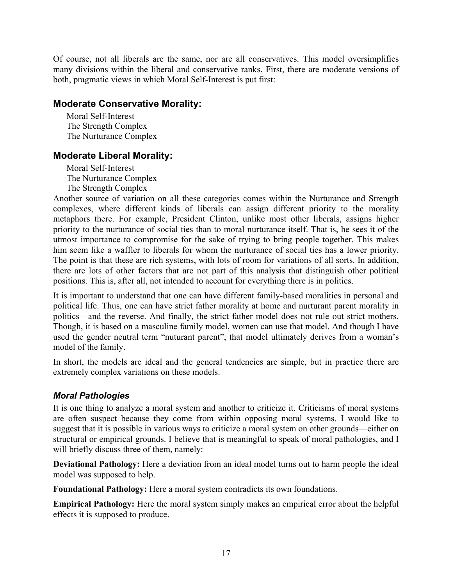Of course, not all liberals are the same, nor are all conservatives. This model oversimplifies many divisions within the liberal and conservative ranks. First, there are moderate versions of both, pragmatic views in which Moral Self-Interest is put first:

### **Moderate Conservative Morality:**

Moral Self-Interest The Strength Complex The Nurturance Complex

## **Moderate Liberal Morality:**

Moral Self-Interest The Nurturance Complex The Strength Complex

Another source of variation on all these categories comes within the Nurturance and Strength complexes, where different kinds of liberals can assign different priority to the morality metaphors there. For example, President Clinton, unlike most other liberals, assigns higher priority to the nurturance of social ties than to moral nurturance itself. That is, he sees it of the utmost importance to compromise for the sake of trying to bring people together. This makes him seem like a waffler to liberals for whom the nurturance of social ties has a lower priority. The point is that these are rich systems, with lots of room for variations of all sorts. In addition, there are lots of other factors that are not part of this analysis that distinguish other political positions. This is, after all, not intended to account for everything there is in politics.

It is important to understand that one can have different family-based moralities in personal and political life. Thus, one can have strict father morality at home and nurturant parent morality in politics—and the reverse. And finally, the strict father model does not rule out strict mothers. Though, it is based on a masculine family model, women can use that model. And though I have used the gender neutral term "nuturant parent", that model ultimately derives from a woman's model of the family.

In short, the models are ideal and the general tendencies are simple, but in practice there are extremely complex variations on these models.

### *Moral Pathologies*

It is one thing to analyze a moral system and another to criticize it. Criticisms of moral systems are often suspect because they come from within opposing moral systems. I would like to suggest that it is possible in various ways to criticize a moral system on other grounds—either on structural or empirical grounds. I believe that is meaningful to speak of moral pathologies, and I will briefly discuss three of them, namely:

**Deviational Pathology:** Here a deviation from an ideal model turns out to harm people the ideal model was supposed to help.

**Foundational Pathology:** Here a moral system contradicts its own foundations.

**Empirical Pathology:** Here the moral system simply makes an empirical error about the helpful effects it is supposed to produce.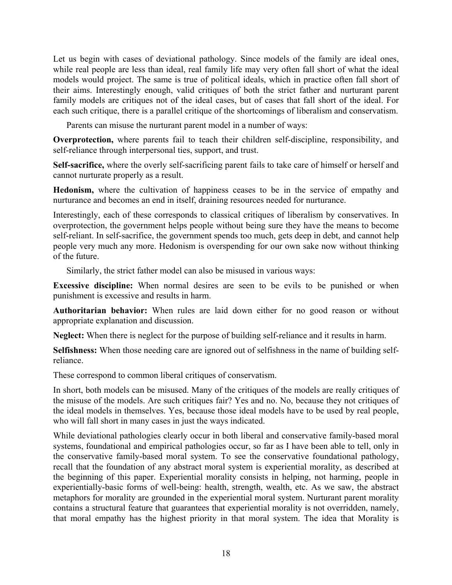Let us begin with cases of deviational pathology. Since models of the family are ideal ones, while real people are less than ideal, real family life may very often fall short of what the ideal models would project. The same is true of political ideals, which in practice often fall short of their aims. Interestingly enough, valid critiques of both the strict father and nurturant parent family models are critiques not of the ideal cases, but of cases that fall short of the ideal. For each such critique, there is a parallel critique of the shortcomings of liberalism and conservatism.

Parents can misuse the nurturant parent model in a number of ways:

**Overprotection,** where parents fail to teach their children self-discipline, responsibility, and self-reliance through interpersonal ties, support, and trust.

**Self-sacrifice,** where the overly self-sacrificing parent fails to take care of himself or herself and cannot nurturate properly as a result.

**Hedonism,** where the cultivation of happiness ceases to be in the service of empathy and nurturance and becomes an end in itself, draining resources needed for nurturance.

Interestingly, each of these corresponds to classical critiques of liberalism by conservatives. In overprotection, the government helps people without being sure they have the means to become self-reliant. In self-sacrifice, the government spends too much, gets deep in debt, and cannot help people very much any more. Hedonism is overspending for our own sake now without thinking of the future.

Similarly, the strict father model can also be misused in various ways:

**Excessive discipline:** When normal desires are seen to be evils to be punished or when punishment is excessive and results in harm.

**Authoritarian behavior:** When rules are laid down either for no good reason or without appropriate explanation and discussion.

**Neglect:** When there is neglect for the purpose of building self-reliance and it results in harm.

**Selfishness:** When those needing care are ignored out of selfishness in the name of building selfreliance.

These correspond to common liberal critiques of conservatism.

In short, both models can be misused. Many of the critiques of the models are really critiques of the misuse of the models. Are such critiques fair? Yes and no. No, because they not critiques of the ideal models in themselves. Yes, because those ideal models have to be used by real people, who will fall short in many cases in just the ways indicated.

While deviational pathologies clearly occur in both liberal and conservative family-based moral systems, foundational and empirical pathologies occur, so far as I have been able to tell, only in the conservative family-based moral system. To see the conservative foundational pathology, recall that the foundation of any abstract moral system is experiential morality, as described at the beginning of this paper. Experiential morality consists in helping, not harming, people in experientially-basic forms of well-being: health, strength, wealth, etc. As we saw, the abstract metaphors for morality are grounded in the experiential moral system. Nurturant parent morality contains a structural feature that guarantees that experiential morality is not overridden, namely, that moral empathy has the highest priority in that moral system. The idea that Morality is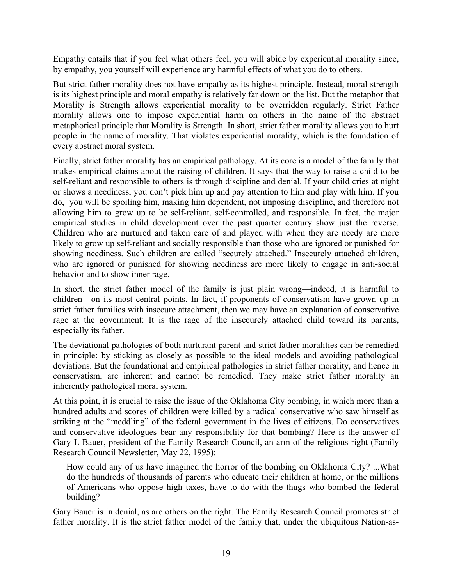Empathy entails that if you feel what others feel, you will abide by experiential morality since, by empathy, you yourself will experience any harmful effects of what you do to others.

But strict father morality does not have empathy as its highest principle. Instead, moral strength is its highest principle and moral empathy is relatively far down on the list. But the metaphor that Morality is Strength allows experiential morality to be overridden regularly. Strict Father morality allows one to impose experiential harm on others in the name of the abstract metaphorical principle that Morality is Strength. In short, strict father morality allows you to hurt people in the name of morality. That violates experiential morality, which is the foundation of every abstract moral system.

Finally, strict father morality has an empirical pathology. At its core is a model of the family that makes empirical claims about the raising of children. It says that the way to raise a child to be self-reliant and responsible to others is through discipline and denial. If your child cries at night or shows a neediness, you don't pick him up and pay attention to him and play with him. If you do, you will be spoiling him, making him dependent, not imposing discipline, and therefore not allowing him to grow up to be self-reliant, self-controlled, and responsible. In fact, the major empirical studies in child development over the past quarter century show just the reverse. Children who are nurtured and taken care of and played with when they are needy are more likely to grow up self-reliant and socially responsible than those who are ignored or punished for showing neediness. Such children are called "securely attached." Insecurely attached children, who are ignored or punished for showing neediness are more likely to engage in anti-social behavior and to show inner rage.

In short, the strict father model of the family is just plain wrong—indeed, it is harmful to children—on its most central points. In fact, if proponents of conservatism have grown up in strict father families with insecure attachment, then we may have an explanation of conservative rage at the government: It is the rage of the insecurely attached child toward its parents, especially its father.

The deviational pathologies of both nurturant parent and strict father moralities can be remedied in principle: by sticking as closely as possible to the ideal models and avoiding pathological deviations. But the foundational and empirical pathologies in strict father morality, and hence in conservatism, are inherent and cannot be remedied. They make strict father morality an inherently pathological moral system.

At this point, it is crucial to raise the issue of the Oklahoma City bombing, in which more than a hundred adults and scores of children were killed by a radical conservative who saw himself as striking at the "meddling" of the federal government in the lives of citizens. Do conservatives and conservative ideologues bear any responsibility for that bombing? Here is the answer of Gary L Bauer, president of the Family Research Council, an arm of the religious right (Family Research Council Newsletter, May 22, 1995):

How could any of us have imagined the horror of the bombing on Oklahoma City? ...What do the hundreds of thousands of parents who educate their children at home, or the millions of Americans who oppose high taxes, have to do with the thugs who bombed the federal building?

Gary Bauer is in denial, as are others on the right. The Family Research Council promotes strict father morality. It is the strict father model of the family that, under the ubiquitous Nation-as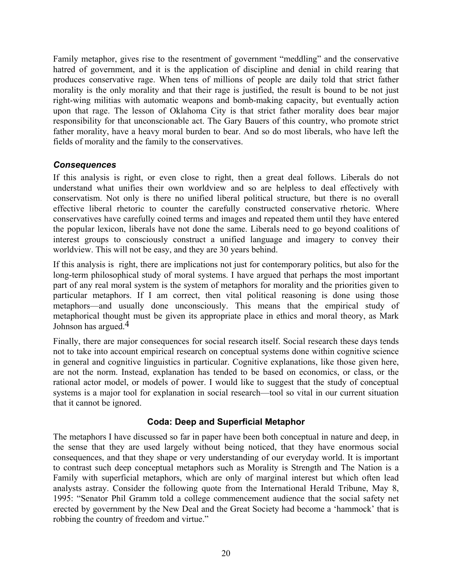Family metaphor, gives rise to the resentment of government "meddling" and the conservative hatred of government, and it is the application of discipline and denial in child rearing that produces conservative rage. When tens of millions of people are daily told that strict father morality is the only morality and that their rage is justified, the result is bound to be not just right-wing militias with automatic weapons and bomb-making capacity, but eventually action upon that rage. The lesson of Oklahoma City is that strict father morality does bear major responsibility for that unconscionable act. The Gary Bauers of this country, who promote strict father morality, have a heavy moral burden to bear. And so do most liberals, who have left the fields of morality and the family to the conservatives.

#### *Consequences*

If this analysis is right, or even close to right, then a great deal follows. Liberals do not understand what unifies their own worldview and so are helpless to deal effectively with conservatism. Not only is there no unified liberal political structure, but there is no overall effective liberal rhetoric to counter the carefully constructed conservative rhetoric. Where conservatives have carefully coined terms and images and repeated them until they have entered the popular lexicon, liberals have not done the same. Liberals need to go beyond coalitions of interest groups to consciously construct a unified language and imagery to convey their worldview. This will not be easy, and they are 30 years behind.

If this analysis is right, there are implications not just for contemporary politics, but also for the long-term philosophical study of moral systems. I have argued that perhaps the most important part of any real moral system is the system of metaphors for morality and the priorities given to particular metaphors. If I am correct, then vital political reasoning is done using those metaphors—and usually done unconsciously. This means that the empirical study of metaphorical thought must be given its appropriate place in ethics and moral theory, as Mark Johnson has argued.4

Finally, there are major consequences for social research itself. Social research these days tends not to take into account empirical research on conceptual systems done within cognitive science in general and cognitive linguistics in particular. Cognitive explanations, like those given here, are not the norm. Instead, explanation has tended to be based on economics, or class, or the rational actor model, or models of power. I would like to suggest that the study of conceptual systems is a major tool for explanation in social research—tool so vital in our current situation that it cannot be ignored.

#### **Coda: Deep and Superficial Metaphor**

The metaphors I have discussed so far in paper have been both conceptual in nature and deep, in the sense that they are used largely without being noticed, that they have enormous social consequences, and that they shape or very understanding of our everyday world. It is important to contrast such deep conceptual metaphors such as Morality is Strength and The Nation is a Family with superficial metaphors, which are only of marginal interest but which often lead analysts astray. Consider the following quote from the International Herald Tribune, May 8, 1995: "Senator Phil Gramm told a college commencement audience that the social safety net erected by government by the New Deal and the Great Society had become a 'hammock' that is robbing the country of freedom and virtue."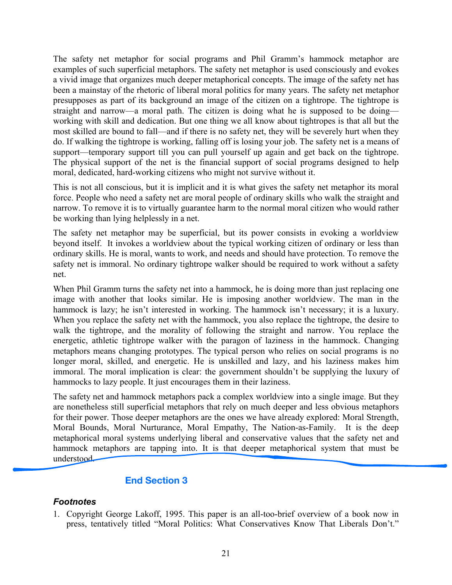The safety net metaphor for social programs and Phil Gramm's hammock metaphor are examples of such superficial metaphors. The safety net metaphor is used consciously and evokes a vivid image that organizes much deeper metaphorical concepts. The image of the safety net has been a mainstay of the rhetoric of liberal moral politics for many years. The safety net metaphor presupposes as part of its background an image of the citizen on a tightrope. The tightrope is straight and narrow—a moral path. The citizen is doing what he is supposed to be doing working with skill and dedication. But one thing we all know about tightropes is that all but the most skilled are bound to fall—and if there is no safety net, they will be severely hurt when they do. If walking the tightrope is working, falling off is losing your job. The safety net is a means of support—temporary support till you can pull yourself up again and get back on the tightrope. The physical support of the net is the financial support of social programs designed to help moral, dedicated, hard-working citizens who might not survive without it.

This is not all conscious, but it is implicit and it is what gives the safety net metaphor its moral force. People who need a safety net are moral people of ordinary skills who walk the straight and narrow. To remove it is to virtually guarantee harm to the normal moral citizen who would rather be working than lying helplessly in a net.

The safety net metaphor may be superficial, but its power consists in evoking a worldview beyond itself. It invokes a worldview about the typical working citizen of ordinary or less than ordinary skills. He is moral, wants to work, and needs and should have protection. To remove the safety net is immoral. No ordinary tightrope walker should be required to work without a safety net.

When Phil Gramm turns the safety net into a hammock, he is doing more than just replacing one image with another that looks similar. He is imposing another worldview. The man in the hammock is lazy; he isn't interested in working. The hammock isn't necessary; it is a luxury. When you replace the safety net with the hammock, you also replace the tightrope, the desire to walk the tightrope, and the morality of following the straight and narrow. You replace the energetic, athletic tightrope walker with the paragon of laziness in the hammock. Changing metaphors means changing prototypes. The typical person who relies on social programs is no longer moral, skilled, and energetic. He is unskilled and lazy, and his laziness makes him immoral. The moral implication is clear: the government shouldn't be supplying the luxury of hammocks to lazy people. It just encourages them in their laziness.

The safety net and hammock metaphors pack a complex worldview into a single image. But they are nonetheless still superficial metaphors that rely on much deeper and less obvious metaphors for their power. Those deeper metaphors are the ones we have already explored: Moral Strength, Moral Bounds, Moral Nurturance, Moral Empathy, The Nation-as-Family. It is the deep metaphorical moral systems underlying liberal and conservative values that the safety net and hammock metaphors are tapping into. It is that deeper metaphorical system that must be understood.

### **End Section 3**

#### *Footnotes*

1. Copyright George Lakoff, 1995. This paper is an all-too-brief overview of a book now in press, tentatively titled "Moral Politics: What Conservatives Know That Liberals Don't."